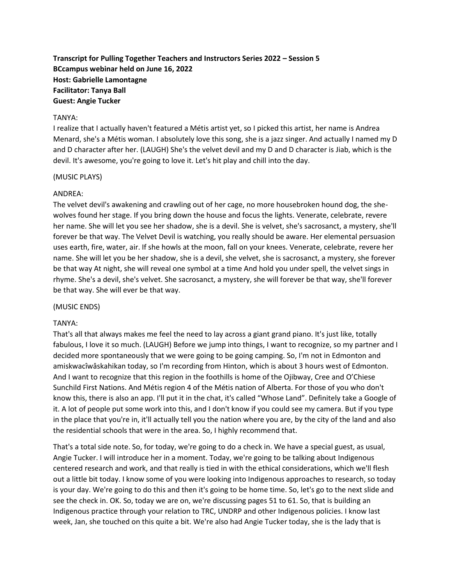**Transcript for Pulling Together Teachers and Instructors Series 2022 – Session 5 BCcampus webinar held on June 16, 2022 Host: Gabrielle Lamontagne Facilitator: Tanya Ball Guest: Angie Tucker**

#### TANYA:

I realize that I actually haven't featured a Métis artist yet, so I picked this artist, her name is Andrea Menard, she's a Métis woman. I absolutely love this song, she is a jazz singer. And actually I named my D and D character after her. (LAUGH) She's the velvet devil and my D and D character is Jiab, which is the devil. It's awesome, you're going to love it. Let's hit play and chill into the day.

#### (MUSIC PLAYS)

## ANDREA:

The velvet devil's awakening and crawling out of her cage, no more housebroken hound dog, the shewolves found her stage. If you bring down the house and focus the lights. Venerate, celebrate, revere her name. She will let you see her shadow, she is a devil. She is velvet, she's sacrosanct, a mystery, she'll forever be that way. The Velvet Devil is watching, you really should be aware. Her elemental persuasion uses earth, fire, water, air. If she howls at the moon, fall on your knees. Venerate, celebrate, revere her name. She will let you be her shadow, she is a devil, she velvet, she is sacrosanct, a mystery, she forever be that way At night, she will reveal one symbol at a time And hold you under spell, the velvet sings in rhyme. She's a devil, she's velvet. She sacrosanct, a mystery, she will forever be that way, she'll forever be that way. She will ever be that way.

#### (MUSIC ENDS)

## TANYA:

That's all that always makes me feel the need to lay across a giant grand piano. It's just like, totally fabulous, I love it so much. (LAUGH) Before we jump into things, I want to recognize, so my partner and I decided more spontaneously that we were going to be going camping. So, I'm not in Edmonton and amiskwacîwâskahikan today, so I'm recording from Hinton, which is about 3 hours west of Edmonton. And I want to recognize that this region in the foothills is home of the Ojibway, Cree and O'Chiese Sunchild First Nations. And Métis region 4 of the Métis nation of Alberta. For those of you who don't know this, there is also an app. I'll put it in the chat, it's called "Whose Land". Definitely take a Google of it. A lot of people put some work into this, and I don't know if you could see my camera. But if you type in the place that you're in, it'll actually tell you the nation where you are, by the city of the land and also the residential schools that were in the area. So, I highly recommend that.

That's a total side note. So, for today, we're going to do a check in. We have a special guest, as usual, Angie Tucker. I will introduce her in a moment. Today, we're going to be talking about Indigenous centered research and work, and that really is tied in with the ethical considerations, which we'll flesh out a little bit today. I know some of you were looking into Indigenous approaches to research, so today is your day. We're going to do this and then it's going to be home time. So, let's go to the next slide and see the check in. OK. So, today we are on, we're discussing pages 51 to 61. So, that is building an Indigenous practice through your relation to TRC, UNDRP and other Indigenous policies. I know last week, Jan, she touched on this quite a bit. We're also had Angie Tucker today, she is the lady that is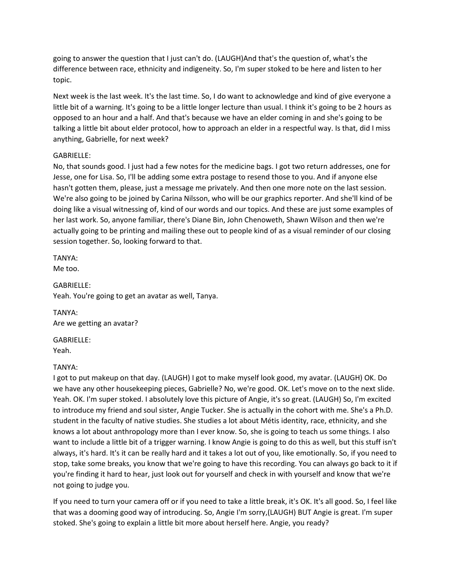going to answer the question that I just can't do. (LAUGH)And that's the question of, what's the difference between race, ethnicity and indigeneity. So, I'm super stoked to be here and listen to her topic.

Next week is the last week. It's the last time. So, I do want to acknowledge and kind of give everyone a little bit of a warning. It's going to be a little longer lecture than usual. I think it's going to be 2 hours as opposed to an hour and a half. And that's because we have an elder coming in and she's going to be talking a little bit about elder protocol, how to approach an elder in a respectful way. Is that, did I miss anything, Gabrielle, for next week?

## GABRIELLE:

No, that sounds good. I just had a few notes for the medicine bags. I got two return addresses, one for Jesse, one for Lisa. So, I'll be adding some extra postage to resend those to you. And if anyone else hasn't gotten them, please, just a message me privately. And then one more note on the last session. We're also going to be joined by Carina Nilsson, who will be our graphics reporter. And she'll kind of be doing like a visual witnessing of, kind of our words and our topics. And these are just some examples of her last work. So, anyone familiar, there's Diane Bin, John Chenoweth, Shawn Wilson and then we're actually going to be printing and mailing these out to people kind of as a visual reminder of our closing session together. So, looking forward to that.

TANYA: Me too.

GABRIELLE: Yeah. You're going to get an avatar as well, Tanya.

TANYA: Are we getting an avatar?

GABRIELLE: Yeah.

#### TANYA:

I got to put makeup on that day. (LAUGH) I got to make myself look good, my avatar. (LAUGH) OK. Do we have any other housekeeping pieces, Gabrielle? No, we're good. OK. Let's move on to the next slide. Yeah. OK. I'm super stoked. I absolutely love this picture of Angie, it's so great. (LAUGH) So, I'm excited to introduce my friend and soul sister, Angie Tucker. She is actually in the cohort with me. She's a Ph.D. student in the faculty of native studies. She studies a lot about Métis identity, race, ethnicity, and she knows a lot about anthropology more than I ever know. So, she is going to teach us some things. I also want to include a little bit of a trigger warning. I know Angie is going to do this as well, but this stuff isn't always, it's hard. It's it can be really hard and it takes a lot out of you, like emotionally. So, if you need to stop, take some breaks, you know that we're going to have this recording. You can always go back to it if you're finding it hard to hear, just look out for yourself and check in with yourself and know that we're not going to judge you.

If you need to turn your camera off or if you need to take a little break, it's OK. It's all good. So, I feel like that was a dooming good way of introducing. So, Angie I'm sorry,(LAUGH) BUT Angie is great. I'm super stoked. She's going to explain a little bit more about herself here. Angie, you ready?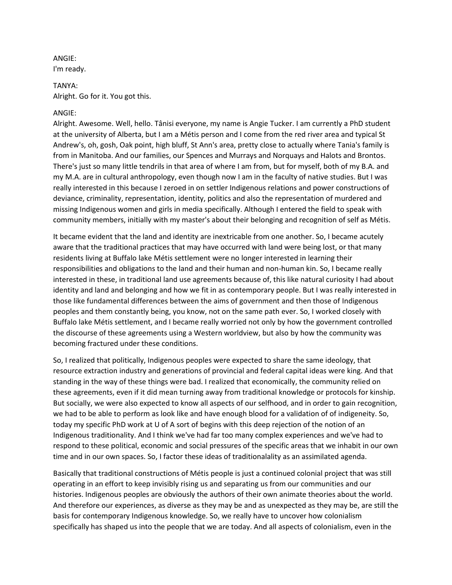# ANGIE: I'm ready.

TANYA: Alright. Go for it. You got this.

## ANGIE:

Alright. Awesome. Well, hello. Tânisi everyone, my name is Angie Tucker. I am currently a PhD student at the university of Alberta, but I am a Métis person and I come from the red river area and typical St Andrew's, oh, gosh, Oak point, high bluff, St Ann's area, pretty close to actually where Tania's family is from in Manitoba. And our families, our Spences and Murrays and Norquays and Halots and Brontos. There's just so many little tendrils in that area of where I am from, but for myself, both of my B.A. and my M.A. are in cultural anthropology, even though now I am in the faculty of native studies. But I was really interested in this because I zeroed in on settler Indigenous relations and power constructions of deviance, criminality, representation, identity, politics and also the representation of murdered and missing Indigenous women and girls in media specifically. Although I entered the field to speak with community members, initially with my master's about their belonging and recognition of self as Métis.

It became evident that the land and identity are inextricable from one another. So, I became acutely aware that the traditional practices that may have occurred with land were being lost, or that many residents living at Buffalo lake Métis settlement were no longer interested in learning their responsibilities and obligations to the land and their human and non-human kin. So, I became really interested in these, in traditional land use agreements because of, this like natural curiosity I had about identity and land and belonging and how we fit in as contemporary people. But I was really interested in those like fundamental differences between the aims of government and then those of Indigenous peoples and them constantly being, you know, not on the same path ever. So, I worked closely with Buffalo lake Métis settlement, and I became really worried not only by how the government controlled the discourse of these agreements using a Western worldview, but also by how the community was becoming fractured under these conditions.

So, I realized that politically, Indigenous peoples were expected to share the same ideology, that resource extraction industry and generations of provincial and federal capital ideas were king. And that standing in the way of these things were bad. I realized that economically, the community relied on these agreements, even if it did mean turning away from traditional knowledge or protocols for kinship. But socially, we were also expected to know all aspects of our selfhood, and in order to gain recognition, we had to be able to perform as look like and have enough blood for a validation of of indigeneity. So, today my specific PhD work at U of A sort of begins with this deep rejection of the notion of an Indigenous traditionality. And I think we've had far too many complex experiences and we've had to respond to these political, economic and social pressures of the specific areas that we inhabit in our own time and in our own spaces. So, I factor these ideas of traditionalality as an assimilated agenda.

Basically that traditional constructions of Métis people is just a continued colonial project that was still operating in an effort to keep invisibly rising us and separating us from our communities and our histories. Indigenous peoples are obviously the authors of their own animate theories about the world. And therefore our experiences, as diverse as they may be and as unexpected as they may be, are still the basis for contemporary Indigenous knowledge. So, we really have to uncover how colonialism specifically has shaped us into the people that we are today. And all aspects of colonialism, even in the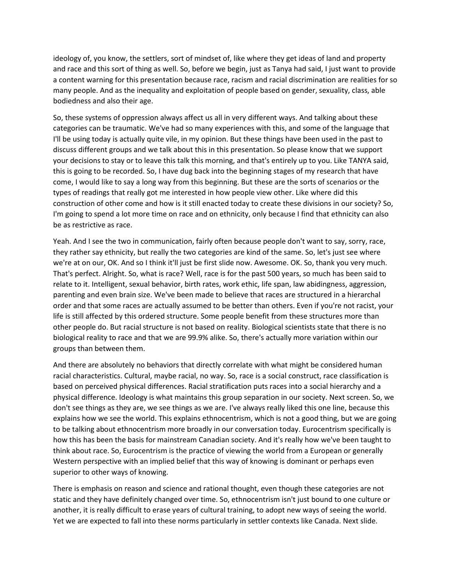ideology of, you know, the settlers, sort of mindset of, like where they get ideas of land and property and race and this sort of thing as well. So, before we begin, just as Tanya had said, I just want to provide a content warning for this presentation because race, racism and racial discrimination are realities for so many people. And as the inequality and exploitation of people based on gender, sexuality, class, able bodiedness and also their age.

So, these systems of oppression always affect us all in very different ways. And talking about these categories can be traumatic. We've had so many experiences with this, and some of the language that I'll be using today is actually quite vile, in my opinion. But these things have been used in the past to discuss different groups and we talk about this in this presentation. So please know that we support your decisions to stay or to leave this talk this morning, and that's entirely up to you. Like TANYA said, this is going to be recorded. So, I have dug back into the beginning stages of my research that have come, I would like to say a long way from this beginning. But these are the sorts of scenarios or the types of readings that really got me interested in how people view other. Like where did this construction of other come and how is it still enacted today to create these divisions in our society? So, I'm going to spend a lot more time on race and on ethnicity, only because I find that ethnicity can also be as restrictive as race.

Yeah. And I see the two in communication, fairly often because people don't want to say, sorry, race, they rather say ethnicity, but really the two categories are kind of the same. So, let's just see where we're at on our, OK. And so I think it'll just be first slide now. Awesome. OK. So, thank you very much. That's perfect. Alright. So, what is race? Well, race is for the past 500 years, so much has been said to relate to it. Intelligent, sexual behavior, birth rates, work ethic, life span, law abidingness, aggression, parenting and even brain size. We've been made to believe that races are structured in a hierarchal order and that some races are actually assumed to be better than others. Even if you're not racist, your life is still affected by this ordered structure. Some people benefit from these structures more than other people do. But racial structure is not based on reality. Biological scientists state that there is no biological reality to race and that we are 99.9% alike. So, there's actually more variation within our groups than between them.

And there are absolutely no behaviors that directly correlate with what might be considered human racial characteristics. Cultural, maybe racial, no way. So, race is a social construct, race classification is based on perceived physical differences. Racial stratification puts races into a social hierarchy and a physical difference. Ideology is what maintains this group separation in our society. Next screen. So, we don't see things as they are, we see things as we are. I've always really liked this one line, because this explains how we see the world. This explains ethnocentrism, which is not a good thing, but we are going to be talking about ethnocentrism more broadly in our conversation today. Eurocentrism specifically is how this has been the basis for mainstream Canadian society. And it's really how we've been taught to think about race. So, Eurocentrism is the practice of viewing the world from a European or generally Western perspective with an implied belief that this way of knowing is dominant or perhaps even superior to other ways of knowing.

There is emphasis on reason and science and rational thought, even though these categories are not static and they have definitely changed over time. So, ethnocentrism isn't just bound to one culture or another, it is really difficult to erase years of cultural training, to adopt new ways of seeing the world. Yet we are expected to fall into these norms particularly in settler contexts like Canada. Next slide.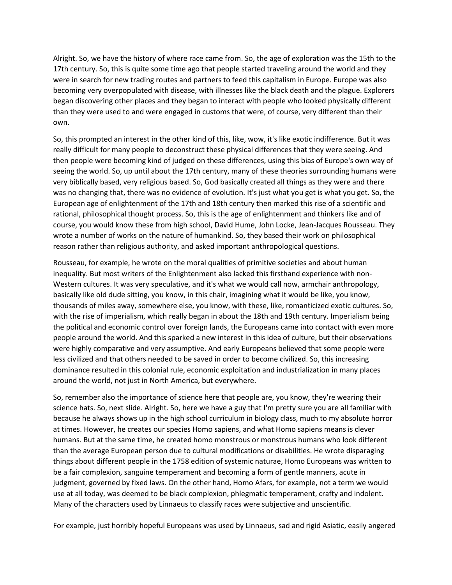Alright. So, we have the history of where race came from. So, the age of exploration was the 15th to the 17th century. So, this is quite some time ago that people started traveling around the world and they were in search for new trading routes and partners to feed this capitalism in Europe. Europe was also becoming very overpopulated with disease, with illnesses like the black death and the plague. Explorers began discovering other places and they began to interact with people who looked physically different than they were used to and were engaged in customs that were, of course, very different than their own.

So, this prompted an interest in the other kind of this, like, wow, it's like exotic indifference. But it was really difficult for many people to deconstruct these physical differences that they were seeing. And then people were becoming kind of judged on these differences, using this bias of Europe's own way of seeing the world. So, up until about the 17th century, many of these theories surrounding humans were very biblically based, very religious based. So, God basically created all things as they were and there was no changing that, there was no evidence of evolution. It's just what you get is what you get. So, the European age of enlightenment of the 17th and 18th century then marked this rise of a scientific and rational, philosophical thought process. So, this is the age of enlightenment and thinkers like and of course, you would know these from high school, David Hume, John Locke, Jean-Jacques Rousseau. They wrote a number of works on the nature of humankind. So, they based their work on philosophical reason rather than religious authority, and asked important anthropological questions.

Rousseau, for example, he wrote on the moral qualities of primitive societies and about human inequality. But most writers of the Enlightenment also lacked this firsthand experience with non-Western cultures. It was very speculative, and it's what we would call now, armchair anthropology, basically like old dude sitting, you know, in this chair, imagining what it would be like, you know, thousands of miles away, somewhere else, you know, with these, like, romanticized exotic cultures. So, with the rise of imperialism, which really began in about the 18th and 19th century. Imperialism being the political and economic control over foreign lands, the Europeans came into contact with even more people around the world. And this sparked a new interest in this idea of culture, but their observations were highly comparative and very assumptive. And early Europeans believed that some people were less civilized and that others needed to be saved in order to become civilized. So, this increasing dominance resulted in this colonial rule, economic exploitation and industrialization in many places around the world, not just in North America, but everywhere.

So, remember also the importance of science here that people are, you know, they're wearing their science hats. So, next slide. Alright. So, here we have a guy that I'm pretty sure you are all familiar with because he always shows up in the high school curriculum in biology class, much to my absolute horror at times. However, he creates our species Homo sapiens, and what Homo sapiens means is clever humans. But at the same time, he created homo monstrous or monstrous humans who look different than the average European person due to cultural modifications or disabilities. He wrote disparaging things about different people in the 1758 edition of systemic naturae, Homo Europeans was written to be a fair complexion, sanguine temperament and becoming a form of gentle manners, acute in judgment, governed by fixed laws. On the other hand, Homo Afars, for example, not a term we would use at all today, was deemed to be black complexion, phlegmatic temperament, crafty and indolent. Many of the characters used by Linnaeus to classify races were subjective and unscientific.

For example, just horribly hopeful Europeans was used by Linnaeus, sad and rigid Asiatic, easily angered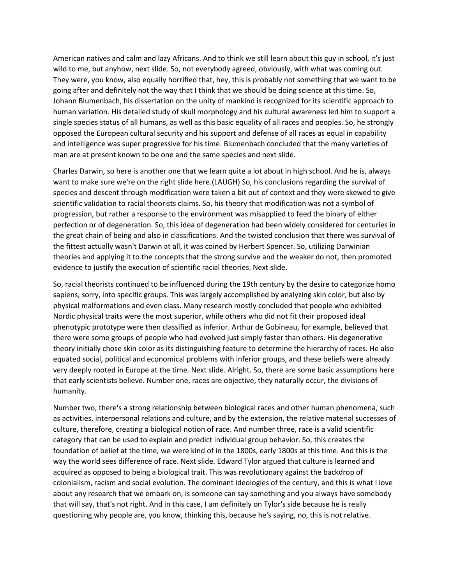American natives and calm and lazy Africans. And to think we still learn about this guy in school, it's just wild to me, but anyhow, next slide. So, not everybody agreed, obviously, with what was coming out. They were, you know, also equally horrified that, hey, this is probably not something that we want to be going after and definitely not the way that I think that we should be doing science at this time. So, Johann Blumenbach, his dissertation on the unity of mankind is recognized for its scientific approach to human variation. His detailed study of skull morphology and his cultural awareness led him to support a single species status of all humans, as well as this basic equality of all races and peoples. So, he strongly opposed the European cultural security and his support and defense of all races as equal in capability and intelligence was super progressive for his time. Blumenbach concluded that the many varieties of man are at present known to be one and the same species and next slide.

Charles Darwin, so here is another one that we learn quite a lot about in high school. And he is, always want to make sure we're on the right slide here.(LAUGH) So, his conclusions regarding the survival of species and descent through modification were taken a bit out of context and they were skewed to give scientific validation to racial theorists claims. So, his theory that modification was not a symbol of progression, but rather a response to the environment was misapplied to feed the binary of either perfection or of degeneration. So, this idea of degeneration had been widely considered for centuries in the great chain of being and also in classifications. And the twisted conclusion that there was survival of the fittest actually wasn't Darwin at all, it was coined by Herbert Spencer. So, utilizing Darwinian theories and applying it to the concepts that the strong survive and the weaker do not, then promoted evidence to justify the execution of scientific racial theories. Next slide.

So, racial theorists continued to be influenced during the 19th century by the desire to categorize homo sapiens, sorry, into specific groups. This was largely accomplished by analyzing skin color, but also by physical malformations and even class. Many research mostly concluded that people who exhibited Nordic physical traits were the most superior, while others who did not fit their proposed ideal phenotypic prototype were then classified as inferior. Arthur de Gobineau, for example, believed that there were some groups of people who had evolved just simply faster than others. His degenerative theory initially chose skin color as its distinguishing feature to determine the hierarchy of races. He also equated social, political and economical problems with inferior groups, and these beliefs were already very deeply rooted in Europe at the time. Next slide. Alright. So, there are some basic assumptions here that early scientists believe. Number one, races are objective, they naturally occur, the divisions of humanity.

Number two, there's a strong relationship between biological races and other human phenomena, such as activities, interpersonal relations and culture, and by the extension, the relative material successes of culture, therefore, creating a biological notion of race. And number three, race is a valid scientific category that can be used to explain and predict individual group behavior. So, this creates the foundation of belief at the time, we were kind of in the 1800s, early 1800s at this time. And this is the way the world sees difference of race. Next slide. Edward Tylor argued that culture is learned and acquired as opposed to being a biological trait. This was revolutionary against the backdrop of colonialism, racism and social evolution. The dominant ideologies of the century, and this is what I love about any research that we embark on, is someone can say something and you always have somebody that will say, that's not right. And in this case, I am definitely on Tylor's side because he is really questioning why people are, you know, thinking this, because he's saying, no, this is not relative.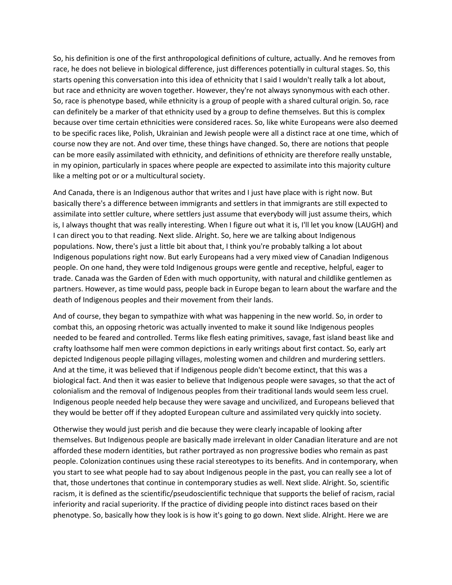So, his definition is one of the first anthropological definitions of culture, actually. And he removes from race, he does not believe in biological difference, just differences potentially in cultural stages. So, this starts opening this conversation into this idea of ethnicity that I said I wouldn't really talk a lot about, but race and ethnicity are woven together. However, they're not always synonymous with each other. So, race is phenotype based, while ethnicity is a group of people with a shared cultural origin. So, race can definitely be a marker of that ethnicity used by a group to define themselves. But this is complex because over time certain ethnicities were considered races. So, like white Europeans were also deemed to be specific races like, Polish, Ukrainian and Jewish people were all a distinct race at one time, which of course now they are not. And over time, these things have changed. So, there are notions that people can be more easily assimilated with ethnicity, and definitions of ethnicity are therefore really unstable, in my opinion, particularly in spaces where people are expected to assimilate into this majority culture like a melting pot or or a multicultural society.

And Canada, there is an Indigenous author that writes and I just have place with is right now. But basically there's a difference between immigrants and settlers in that immigrants are still expected to assimilate into settler culture, where settlers just assume that everybody will just assume theirs, which is, I always thought that was really interesting. When I figure out what it is, I'll let you know (LAUGH) and I can direct you to that reading. Next slide. Alright. So, here we are talking about Indigenous populations. Now, there's just a little bit about that, I think you're probably talking a lot about Indigenous populations right now. But early Europeans had a very mixed view of Canadian Indigenous people. On one hand, they were told Indigenous groups were gentle and receptive, helpful, eager to trade. Canada was the Garden of Eden with much opportunity, with natural and childlike gentlemen as partners. However, as time would pass, people back in Europe began to learn about the warfare and the death of Indigenous peoples and their movement from their lands.

And of course, they began to sympathize with what was happening in the new world. So, in order to combat this, an opposing rhetoric was actually invented to make it sound like Indigenous peoples needed to be feared and controlled. Terms like flesh eating primitives, savage, fast island beast like and crafty loathsome half men were common depictions in early writings about first contact. So, early art depicted Indigenous people pillaging villages, molesting women and children and murdering settlers. And at the time, it was believed that if Indigenous people didn't become extinct, that this was a biological fact. And then it was easier to believe that Indigenous people were savages, so that the act of colonialism and the removal of Indigenous peoples from their traditional lands would seem less cruel. Indigenous people needed help because they were savage and uncivilized, and Europeans believed that they would be better off if they adopted European culture and assimilated very quickly into society.

Otherwise they would just perish and die because they were clearly incapable of looking after themselves. But Indigenous people are basically made irrelevant in older Canadian literature and are not afforded these modern identities, but rather portrayed as non progressive bodies who remain as past people. Colonization continues using these racial stereotypes to its benefits. And in contemporary, when you start to see what people had to say about Indigenous people in the past, you can really see a lot of that, those undertones that continue in contemporary studies as well. Next slide. Alright. So, scientific racism, it is defined as the scientific/pseudoscientific technique that supports the belief of racism, racial inferiority and racial superiority. If the practice of dividing people into distinct races based on their phenotype. So, basically how they look is is how it's going to go down. Next slide. Alright. Here we are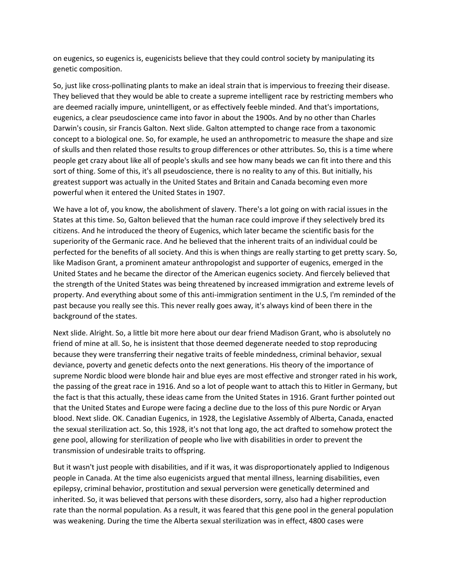on eugenics, so eugenics is, eugenicists believe that they could control society by manipulating its genetic composition.

So, just like cross-pollinating plants to make an ideal strain that is impervious to freezing their disease. They believed that they would be able to create a supreme intelligent race by restricting members who are deemed racially impure, unintelligent, or as effectively feeble minded. And that's importations, eugenics, a clear pseudoscience came into favor in about the 1900s. And by no other than Charles Darwin's cousin, sir Francis Galton. Next slide. Galton attempted to change race from a taxonomic concept to a biological one. So, for example, he used an anthropometric to measure the shape and size of skulls and then related those results to group differences or other attributes. So, this is a time where people get crazy about like all of people's skulls and see how many beads we can fit into there and this sort of thing. Some of this, it's all pseudoscience, there is no reality to any of this. But initially, his greatest support was actually in the United States and Britain and Canada becoming even more powerful when it entered the United States in 1907.

We have a lot of, you know, the abolishment of slavery. There's a lot going on with racial issues in the States at this time. So, Galton believed that the human race could improve if they selectively bred its citizens. And he introduced the theory of Eugenics, which later became the scientific basis for the superiority of the Germanic race. And he believed that the inherent traits of an individual could be perfected for the benefits of all society. And this is when things are really starting to get pretty scary. So, like Madison Grant, a prominent amateur anthropologist and supporter of eugenics, emerged in the United States and he became the director of the American eugenics society. And fiercely believed that the strength of the United States was being threatened by increased immigration and extreme levels of property. And everything about some of this anti-immigration sentiment in the U.S, I'm reminded of the past because you really see this. This never really goes away, it's always kind of been there in the background of the states.

Next slide. Alright. So, a little bit more here about our dear friend Madison Grant, who is absolutely no friend of mine at all. So, he is insistent that those deemed degenerate needed to stop reproducing because they were transferring their negative traits of feeble mindedness, criminal behavior, sexual deviance, poverty and genetic defects onto the next generations. His theory of the importance of supreme Nordic blood were blonde hair and blue eyes are most effective and stronger rated in his work, the passing of the great race in 1916. And so a lot of people want to attach this to Hitler in Germany, but the fact is that this actually, these ideas came from the United States in 1916. Grant further pointed out that the United States and Europe were facing a decline due to the loss of this pure Nordic or Aryan blood. Next slide. OK. Canadian Eugenics, in 1928, the Legislative Assembly of Alberta, Canada, enacted the sexual sterilization act. So, this 1928, it's not that long ago, the act drafted to somehow protect the gene pool, allowing for sterilization of people who live with disabilities in order to prevent the transmission of undesirable traits to offspring.

But it wasn't just people with disabilities, and if it was, it was disproportionately applied to Indigenous people in Canada. At the time also eugenicists argued that mental illness, learning disabilities, even epilepsy, criminal behavior, prostitution and sexual perversion were genetically determined and inherited. So, it was believed that persons with these disorders, sorry, also had a higher reproduction rate than the normal population. As a result, it was feared that this gene pool in the general population was weakening. During the time the Alberta sexual sterilization was in effect, 4800 cases were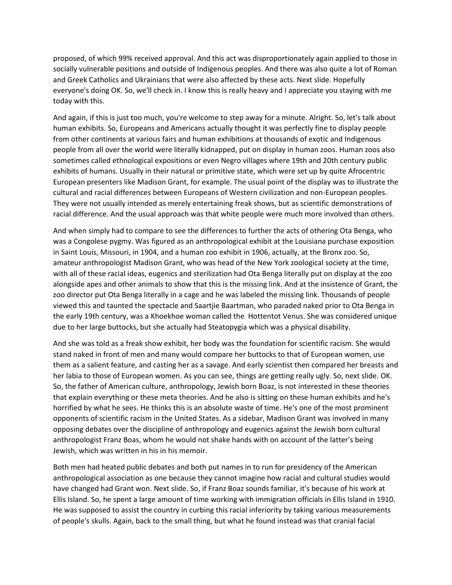proposed, of which 99% received approval. And this act was disproportionately again applied to those in socially vulnerable positions and outside of Indigenous peoples. And there was also quite a lot of Roman and Greek Catholics and Ukrainians that were also affected by these acts. Next slide. Hopefully everyone's doing OK. So, we'll check in. I know this is really heavy and I appreciate you staying with me today with this.

And again, if this is just too much, you're welcome to step away for a minute. Alright. So, let's talk about human exhibits. So, Europeans and Americans actually thought it was perfectly fine to display people from other continents at various fairs and human exhibitions at thousands of exotic and Indigenous people from all over the world were literally kidnapped, put on display in human zoos. Human zoos also sometimes called ethnological expositions or even Negro villages where 19th and 20th century public exhibits of humans. Usually in their natural or primitive state, which were set up by quite Afrocentric European presenters like Madison Grant, for example. The usual point of the display was to illustrate the cultural and racial differences between Europeans of Western civilization and non-European peoples. They were not usually intended as merely entertaining freak shows, but as scientific demonstrations of racial difference. And the usual approach was that white people were much more involved than others.

And when simply had to compare to see the differences to further the acts of othering Ota Benga, who was a Congolese pygmy. Was figured as an anthropological exhibit at the Louisiana purchase exposition in Saint Louis, Missouri, in 1904, and a human zoo exhibit in 1906, actually, at the Bronx zoo. So, amateur anthropologist Madison Grant, who was head of the New York zoological society at the time, with all of these racial ideas, eugenics and sterilization had Ota Benga literally put on display at the zoo alongside apes and other animals to show that this is the missing link. And at the insistence of Grant, the zoo director put Ota Benga literally in a cage and he was labeled the missing link. Thousands of people viewed this and taunted the spectacle and Saartjie Baartman, who paraded naked prior to Ota Benga in the early 19th century, was a Khoekhoe woman called the Hottentot Venus. She was considered unique due to her large buttocks, but she actually had Steatopygia which was a physical disability.

And she was told as a freak show exhibit, her body was the foundation for scientific racism. She would stand naked in front of men and many would compare her buttocks to that of European women, use them as a salient feature, and casting her as a savage. And early scientist then compared her breasts and her labia to those of European women. As you can see, things are getting really ugly. So, next slide. OK. So, the father of American culture, anthropology, Jewish born Boaz, is not interested in these theories that explain everything or these meta theories. And he also is sitting on these human exhibits and he's horrified by what he sees. He thinks this is an absolute waste of time. He's one of the most prominent opponents of scientific racism in the United States. As a sidebar, Madison Grant was involved in many opposing debates over the discipline of anthropology and eugenics against the Jewish born cultural anthropologist Franz Boas, whom he would not shake hands with on account of the latter's being Jewish, which was written in his in his memoir.

Both men had heated public debates and both put names in to run for presidency of the American anthropological association as one because they cannot imagine how racial and cultural studies would have changed had Grant won. Next slide. So, if Franz Boaz sounds familiar, it's because of his work at Ellis Island. So, he spent a large amount of time working with immigration officials in Ellis Island in 1910. He was supposed to assist the country in curbing this racial inferiority by taking various measurements of people's skulls. Again, back to the small thing, but what he found instead was that cranial facial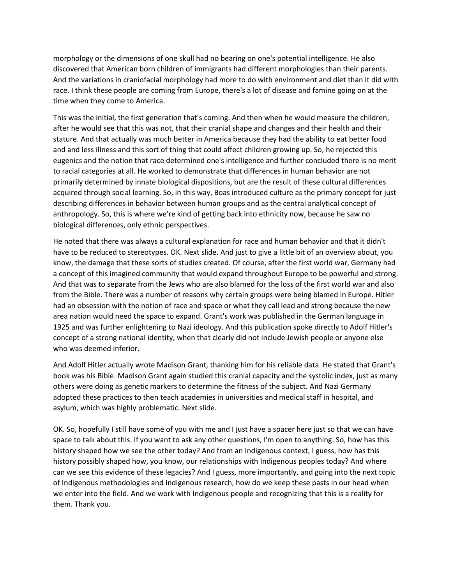morphology or the dimensions of one skull had no bearing on one's potential intelligence. He also discovered that American born children of immigrants had different morphologies than their parents. And the variations in craniofacial morphology had more to do with environment and diet than it did with race. I think these people are coming from Europe, there's a lot of disease and famine going on at the time when they come to America.

This was the initial, the first generation that's coming. And then when he would measure the children, after he would see that this was not, that their cranial shape and changes and their health and their stature. And that actually was much better in America because they had the ability to eat better food and and less illness and this sort of thing that could affect children growing up. So, he rejected this eugenics and the notion that race determined one's intelligence and further concluded there is no merit to racial categories at all. He worked to demonstrate that differences in human behavior are not primarily determined by innate biological dispositions, but are the result of these cultural differences acquired through social learning. So, in this way, Boas introduced culture as the primary concept for just describing differences in behavior between human groups and as the central analytical concept of anthropology. So, this is where we're kind of getting back into ethnicity now, because he saw no biological differences, only ethnic perspectives.

He noted that there was always a cultural explanation for race and human behavior and that it didn't have to be reduced to stereotypes. OK. Next slide. And just to give a little bit of an overview about, you know, the damage that these sorts of studies created. Of course, after the first world war, Germany had a concept of this imagined community that would expand throughout Europe to be powerful and strong. And that was to separate from the Jews who are also blamed for the loss of the first world war and also from the Bible. There was a number of reasons why certain groups were being blamed in Europe. Hitler had an obsession with the notion of race and space or what they call lead and strong because the new area nation would need the space to expand. Grant's work was published in the German language in 1925 and was further enlightening to Nazi ideology. And this publication spoke directly to Adolf Hitler's concept of a strong national identity, when that clearly did not include Jewish people or anyone else who was deemed inferior.

And Adolf Hitler actually wrote Madison Grant, thanking him for his reliable data. He stated that Grant's book was his Bible. Madison Grant again studied this cranial capacity and the systolic index, just as many others were doing as genetic markers to determine the fitness of the subject. And Nazi Germany adopted these practices to then teach academies in universities and medical staff in hospital, and asylum, which was highly problematic. Next slide.

OK. So, hopefully I still have some of you with me and I just have a spacer here just so that we can have space to talk about this. If you want to ask any other questions, I'm open to anything. So, how has this history shaped how we see the other today? And from an Indigenous context, I guess, how has this history possibly shaped how, you know, our relationships with Indigenous peoples today? And where can we see this evidence of these legacies? And I guess, more importantly, and going into the next topic of Indigenous methodologies and Indigenous research, how do we keep these pasts in our head when we enter into the field. And we work with Indigenous people and recognizing that this is a reality for them. Thank you.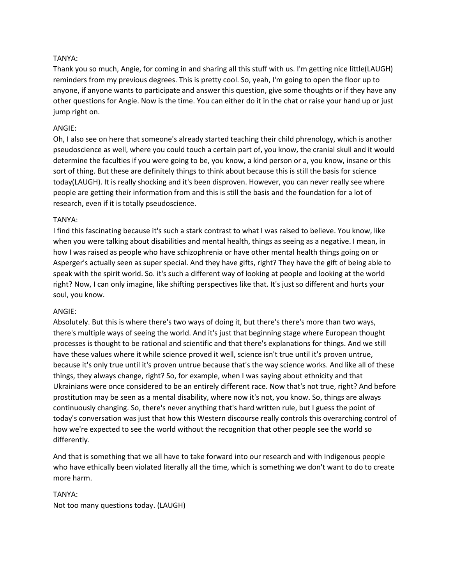# TANYA:

Thank you so much, Angie, for coming in and sharing all this stuff with us. I'm getting nice little(LAUGH) reminders from my previous degrees. This is pretty cool. So, yeah, I'm going to open the floor up to anyone, if anyone wants to participate and answer this question, give some thoughts or if they have any other questions for Angie. Now is the time. You can either do it in the chat or raise your hand up or just jump right on.

# ANGIE:

Oh, I also see on here that someone's already started teaching their child phrenology, which is another pseudoscience as well, where you could touch a certain part of, you know, the cranial skull and it would determine the faculties if you were going to be, you know, a kind person or a, you know, insane or this sort of thing. But these are definitely things to think about because this is still the basis for science today(LAUGH). It is really shocking and it's been disproven. However, you can never really see where people are getting their information from and this is still the basis and the foundation for a lot of research, even if it is totally pseudoscience.

## TANYA:

I find this fascinating because it's such a stark contrast to what I was raised to believe. You know, like when you were talking about disabilities and mental health, things as seeing as a negative. I mean, in how I was raised as people who have schizophrenia or have other mental health things going on or Asperger's actually seen as super special. And they have gifts, right? They have the gift of being able to speak with the spirit world. So. it's such a different way of looking at people and looking at the world right? Now, I can only imagine, like shifting perspectives like that. It's just so different and hurts your soul, you know.

## ANGIE:

Absolutely. But this is where there's two ways of doing it, but there's there's more than two ways, there's multiple ways of seeing the world. And it's just that beginning stage where European thought processes is thought to be rational and scientific and that there's explanations for things. And we still have these values where it while science proved it well, science isn't true until it's proven untrue, because it's only true until it's proven untrue because that's the way science works. And like all of these things, they always change, right? So, for example, when I was saying about ethnicity and that Ukrainians were once considered to be an entirely different race. Now that's not true, right? And before prostitution may be seen as a mental disability, where now it's not, you know. So, things are always continuously changing. So, there's never anything that's hard written rule, but I guess the point of today's conversation was just that how this Western discourse really controls this overarching control of how we're expected to see the world without the recognition that other people see the world so differently.

And that is something that we all have to take forward into our research and with Indigenous people who have ethically been violated literally all the time, which is something we don't want to do to create more harm.

# TANYA: Not too many questions today. (LAUGH)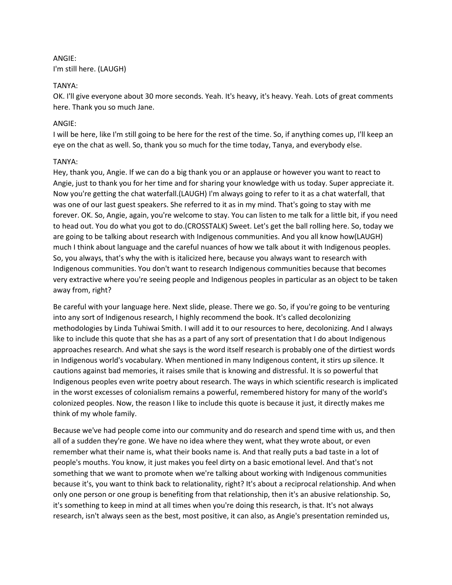# ANGIE: I'm still here. (LAUGH)

# TANYA:

OK. I'll give everyone about 30 more seconds. Yeah. It's heavy, it's heavy. Yeah. Lots of great comments here. Thank you so much Jane.

# ANGIE:

I will be here, like I'm still going to be here for the rest of the time. So, if anything comes up, I'll keep an eye on the chat as well. So, thank you so much for the time today, Tanya, and everybody else.

# TANYA:

Hey, thank you, Angie. If we can do a big thank you or an applause or however you want to react to Angie, just to thank you for her time and for sharing your knowledge with us today. Super appreciate it. Now you're getting the chat waterfall.(LAUGH) I'm always going to refer to it as a chat waterfall, that was one of our last guest speakers. She referred to it as in my mind. That's going to stay with me forever. OK. So, Angie, again, you're welcome to stay. You can listen to me talk for a little bit, if you need to head out. You do what you got to do.(CROSSTALK) Sweet. Let's get the ball rolling here. So, today we are going to be talking about research with Indigenous communities. And you all know how(LAUGH) much I think about language and the careful nuances of how we talk about it with Indigenous peoples. So, you always, that's why the with is italicized here, because you always want to research with Indigenous communities. You don't want to research Indigenous communities because that becomes very extractive where you're seeing people and Indigenous peoples in particular as an object to be taken away from, right?

Be careful with your language here. Next slide, please. There we go. So, if you're going to be venturing into any sort of Indigenous research, I highly recommend the book. It's called decolonizing methodologies by Linda Tuhiwai Smith. I will add it to our resources to here, decolonizing. And I always like to include this quote that she has as a part of any sort of presentation that I do about Indigenous approaches research. And what she says is the word itself research is probably one of the dirtiest words in Indigenous world's vocabulary. When mentioned in many Indigenous content, it stirs up silence. It cautions against bad memories, it raises smile that is knowing and distressful. It is so powerful that Indigenous peoples even write poetry about research. The ways in which scientific research is implicated in the worst excesses of colonialism remains a powerful, remembered history for many of the world's colonized peoples. Now, the reason I like to include this quote is because it just, it directly makes me think of my whole family.

Because we've had people come into our community and do research and spend time with us, and then all of a sudden they're gone. We have no idea where they went, what they wrote about, or even remember what their name is, what their books name is. And that really puts a bad taste in a lot of people's mouths. You know, it just makes you feel dirty on a basic emotional level. And that's not something that we want to promote when we're talking about working with Indigenous communities because it's, you want to think back to relationality, right? It's about a reciprocal relationship. And when only one person or one group is benefiting from that relationship, then it's an abusive relationship. So, it's something to keep in mind at all times when you're doing this research, is that. It's not always research, isn't always seen as the best, most positive, it can also, as Angie's presentation reminded us,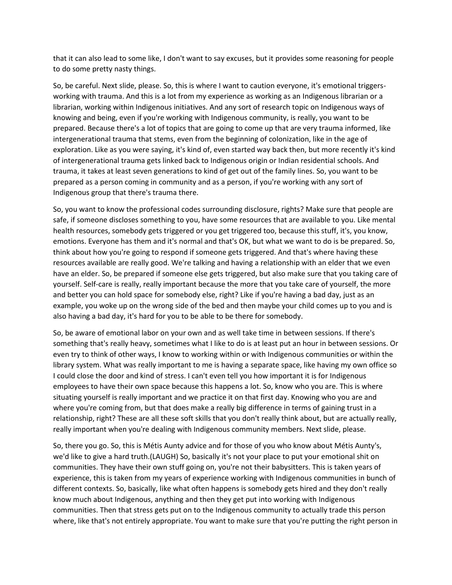that it can also lead to some like, I don't want to say excuses, but it provides some reasoning for people to do some pretty nasty things.

So, be careful. Next slide, please. So, this is where I want to caution everyone, it's emotional triggersworking with trauma. And this is a lot from my experience as working as an Indigenous librarian or a librarian, working within Indigenous initiatives. And any sort of research topic on Indigenous ways of knowing and being, even if you're working with Indigenous community, is really, you want to be prepared. Because there's a lot of topics that are going to come up that are very trauma informed, like intergenerational trauma that stems, even from the beginning of colonization, like in the age of exploration. Like as you were saying, it's kind of, even started way back then, but more recently it's kind of intergenerational trauma gets linked back to Indigenous origin or Indian residential schools. And trauma, it takes at least seven generations to kind of get out of the family lines. So, you want to be prepared as a person coming in community and as a person, if you're working with any sort of Indigenous group that there's trauma there.

So, you want to know the professional codes surrounding disclosure, rights? Make sure that people are safe, if someone discloses something to you, have some resources that are available to you. Like mental health resources, somebody gets triggered or you get triggered too, because this stuff, it's, you know, emotions. Everyone has them and it's normal and that's OK, but what we want to do is be prepared. So, think about how you're going to respond if someone gets triggered. And that's where having these resources available are really good. We're talking and having a relationship with an elder that we even have an elder. So, be prepared if someone else gets triggered, but also make sure that you taking care of yourself. Self-care is really, really important because the more that you take care of yourself, the more and better you can hold space for somebody else, right? Like if you're having a bad day, just as an example, you woke up on the wrong side of the bed and then maybe your child comes up to you and is also having a bad day, it's hard for you to be able to be there for somebody.

So, be aware of emotional labor on your own and as well take time in between sessions. If there's something that's really heavy, sometimes what I like to do is at least put an hour in between sessions. Or even try to think of other ways, I know to working within or with Indigenous communities or within the library system. What was really important to me is having a separate space, like having my own office so I could close the door and kind of stress. I can't even tell you how important it is for Indigenous employees to have their own space because this happens a lot. So, know who you are. This is where situating yourself is really important and we practice it on that first day. Knowing who you are and where you're coming from, but that does make a really big difference in terms of gaining trust in a relationship, right? These are all these soft skills that you don't really think about, but are actually really, really important when you're dealing with Indigenous community members. Next slide, please.

So, there you go. So, this is Métis Aunty advice and for those of you who know about Métis Aunty's, we'd like to give a hard truth.(LAUGH) So, basically it's not your place to put your emotional shit on communities. They have their own stuff going on, you're not their babysitters. This is taken years of experience, this is taken from my years of experience working with Indigenous communities in bunch of different contexts. So, basically, like what often happens is somebody gets hired and they don't really know much about Indigenous, anything and then they get put into working with Indigenous communities. Then that stress gets put on to the Indigenous community to actually trade this person where, like that's not entirely appropriate. You want to make sure that you're putting the right person in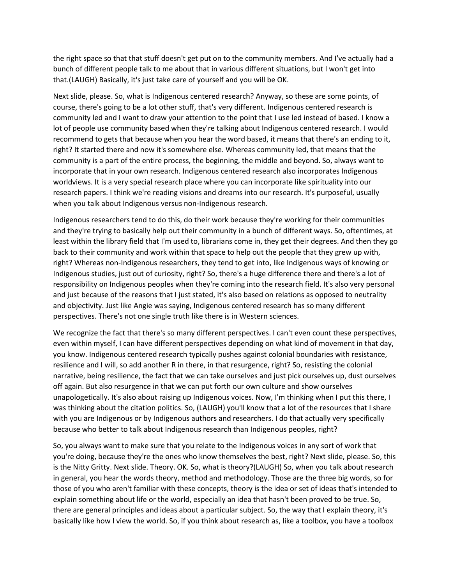the right space so that that stuff doesn't get put on to the community members. And I've actually had a bunch of different people talk to me about that in various different situations, but I won't get into that.(LAUGH) Basically, it's just take care of yourself and you will be OK.

Next slide, please. So, what is Indigenous centered research? Anyway, so these are some points, of course, there's going to be a lot other stuff, that's very different. Indigenous centered research is community led and I want to draw your attention to the point that I use led instead of based. I know a lot of people use community based when they're talking about Indigenous centered research. I would recommend to gets that because when you hear the word based, it means that there's an ending to it, right? It started there and now it's somewhere else. Whereas community led, that means that the community is a part of the entire process, the beginning, the middle and beyond. So, always want to incorporate that in your own research. Indigenous centered research also incorporates Indigenous worldviews. It is a very special research place where you can incorporate like spirituality into our research papers. I think we're reading visions and dreams into our research. It's purposeful, usually when you talk about Indigenous versus non-Indigenous research.

Indigenous researchers tend to do this, do their work because they're working for their communities and they're trying to basically help out their community in a bunch of different ways. So, oftentimes, at least within the library field that I'm used to, librarians come in, they get their degrees. And then they go back to their community and work within that space to help out the people that they grew up with, right? Whereas non-Indigenous researchers, they tend to get into, like Indigenous ways of knowing or Indigenous studies, just out of curiosity, right? So, there's a huge difference there and there's a lot of responsibility on Indigenous peoples when they're coming into the research field. It's also very personal and just because of the reasons that I just stated, it's also based on relations as opposed to neutrality and objectivity. Just like Angie was saying, Indigenous centered research has so many different perspectives. There's not one single truth like there is in Western sciences.

We recognize the fact that there's so many different perspectives. I can't even count these perspectives, even within myself, I can have different perspectives depending on what kind of movement in that day, you know. Indigenous centered research typically pushes against colonial boundaries with resistance, resilience and I will, so add another R in there, in that resurgence, right? So, resisting the colonial narrative, being resilience, the fact that we can take ourselves and just pick ourselves up, dust ourselves off again. But also resurgence in that we can put forth our own culture and show ourselves unapologetically. It's also about raising up Indigenous voices. Now, I'm thinking when I put this there, I was thinking about the citation politics. So, (LAUGH) you'll know that a lot of the resources that I share with you are Indigenous or by Indigenous authors and researchers. I do that actually very specifically because who better to talk about Indigenous research than Indigenous peoples, right?

So, you always want to make sure that you relate to the Indigenous voices in any sort of work that you're doing, because they're the ones who know themselves the best, right? Next slide, please. So, this is the Nitty Gritty. Next slide. Theory. OK. So, what is theory?(LAUGH) So, when you talk about research in general, you hear the words theory, method and methodology. Those are the three big words, so for those of you who aren't familiar with these concepts, theory is the idea or set of ideas that's intended to explain something about life or the world, especially an idea that hasn't been proved to be true. So, there are general principles and ideas about a particular subject. So, the way that I explain theory, it's basically like how I view the world. So, if you think about research as, like a toolbox, you have a toolbox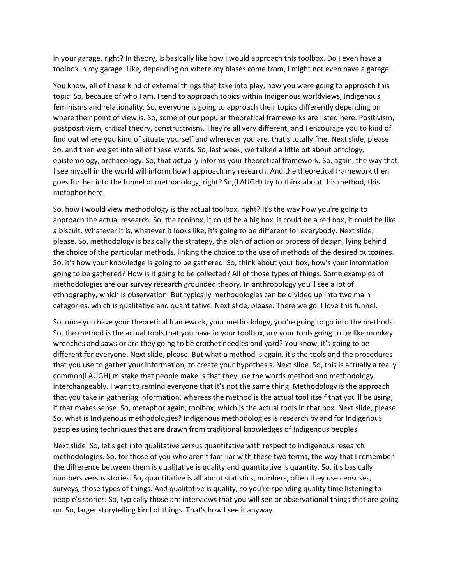in your garage, right? In theory, is basically like how I would approach this toolbox. Do I even have a toolbox in my garage. Like, depending on where my biases come from, I might not even have a garage.

You know, all of these kind of external things that take into play, how you were going to approach this topic. So, because of who I am, I tend to approach topics within Indigenous worldviews, Indigenous feminisms and relationality. So, everyone is going to approach their topics differently depending on where their point of view is. So, some of our popular theoretical frameworks are listed here. Positivism, postpositivism, critical theory, constructivism. They're all very different, and I encourage you to kind of find out where you kind of situate yourself and wherever you are, that's totally fine. Next slide, please. So, and then we get into all of these words. So, last week, we talked a little bit about ontology, epistemology, archaeology. So, that actually informs your theoretical framework. So, again, the way that I see myself in the world will inform how I approach my research. And the theoretical framework then goes further into the funnel of methodology, right? So,(LAUGH) try to think about this method, this metaphor here.

So, how I would view methodology is the actual toolbox, right? It's the way how you're going to approach the actual research. So, the toolbox, it could be a big box, it could be a red box, it could be like a biscuit. Whatever it is, whatever it looks like, it's going to be different for everybody. Next slide, please. So, methodology is basically the strategy, the plan of action or process of design, lying behind the choice of the particular methods, linking the choice to the use of methods of the desired outcomes. So, it's how your knowledge is going to be gathered. So, think about your box, how's your information going to be gathered? How is it going to be collected? All of those types of things. Some examples of methodologies are our survey research grounded theory. In anthropology you'll see a lot of ethnography, which is observation. But typically methodologies can be divided up into two main categories, which is qualitative and quantitative. Next slide, please. There we go. I love this funnel.

So, once you have your theoretical framework, your methodology, you're going to go into the methods. So, the method is the actual tools that you have in your toolbox, are your tools going to be like monkey wrenches and saws or are they going to be crochet needles and yard? You know, it's going to be different for everyone. Next slide, please. But what a method is again, it's the tools and the procedures that you use to gather your information, to create your hypothesis. Next slide. So, this is actually a really common(LAUGH) mistake that people make is that they use the words method and methodology interchangeably. I want to remind everyone that it's not the same thing. Methodology is the approach that you take in gathering information, whereas the method is the actual tool itself that you'll be using, if that makes sense. So, metaphor again, toolbox, which is the actual tools in that box. Next slide, please. So, what is Indigenous methodologies? Indigenous methodologies is research by and for Indigenous peoples using techniques that are drawn from traditional knowledges of Indigenous peoples.

Next slide. So, let's get into qualitative versus quantitative with respect to Indigenous research methodologies. So, for those of you who aren't familiar with these two terms, the way that I remember the difference between them is qualitative is quality and quantitative is quantity. So, it's basically numbers versus stories. So, quantitative is all about statistics, numbers, often they use censuses, surveys, those types of things. And qualitative is quality, so you're spending quality time listening to people's stories. So, typically those are interviews that you will see or observational things that are going on. So, larger storytelling kind of things. That's how I see it anyway.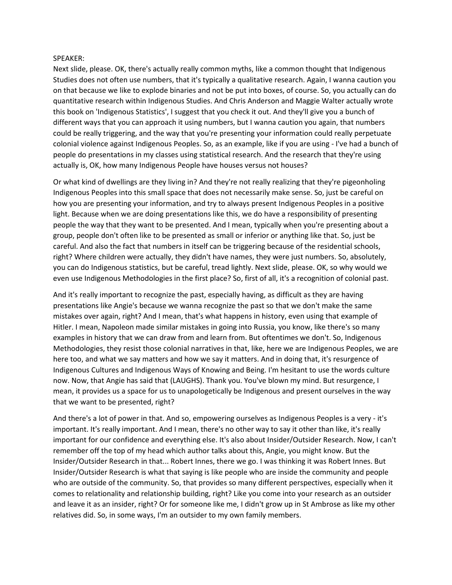#### SPEAKER:

Next slide, please. OK, there's actually really common myths, like a common thought that Indigenous Studies does not often use numbers, that it's typically a qualitative research. Again, I wanna caution you on that because we like to explode binaries and not be put into boxes, of course. So, you actually can do quantitative research within Indigenous Studies. And Chris Anderson and Maggie Walter actually wrote this book on 'Indigenous Statistics', I suggest that you check it out. And they'll give you a bunch of different ways that you can approach it using numbers, but I wanna caution you again, that numbers could be really triggering, and the way that you're presenting your information could really perpetuate colonial violence against Indigenous Peoples. So, as an example, like if you are using - I've had a bunch of people do presentations in my classes using statistical research. And the research that they're using actually is, OK, how many Indigenous People have houses versus not houses?

Or what kind of dwellings are they living in? And they're not really realizing that they're pigeonholing Indigenous Peoples into this small space that does not necessarily make sense. So, just be careful on how you are presenting your information, and try to always present Indigenous Peoples in a positive light. Because when we are doing presentations like this, we do have a responsibility of presenting people the way that they want to be presented. And I mean, typically when you're presenting about a group, people don't often like to be presented as small or inferior or anything like that. So, just be careful. And also the fact that numbers in itself can be triggering because of the residential schools, right? Where children were actually, they didn't have names, they were just numbers. So, absolutely, you can do Indigenous statistics, but be careful, tread lightly. Next slide, please. OK, so why would we even use Indigenous Methodologies in the first place? So, first of all, it's a recognition of colonial past.

And it's really important to recognize the past, especially having, as difficult as they are having presentations like Angie's because we wanna recognize the past so that we don't make the same mistakes over again, right? And I mean, that's what happens in history, even using that example of Hitler. I mean, Napoleon made similar mistakes in going into Russia, you know, like there's so many examples in history that we can draw from and learn from. But oftentimes we don't. So, Indigenous Methodologies, they resist those colonial narratives in that, like, here we are Indigenous Peoples, we are here too, and what we say matters and how we say it matters. And in doing that, it's resurgence of Indigenous Cultures and Indigenous Ways of Knowing and Being. I'm hesitant to use the words culture now. Now, that Angie has said that (LAUGHS). Thank you. You've blown my mind. But resurgence, I mean, it provides us a space for us to unapologetically be Indigenous and present ourselves in the way that we want to be presented, right?

And there's a lot of power in that. And so, empowering ourselves as Indigenous Peoples is a very - it's important. It's really important. And I mean, there's no other way to say it other than like, it's really important for our confidence and everything else. It's also about Insider/Outsider Research. Now, I can't remember off the top of my head which author talks about this, Angie, you might know. But the Insider/Outsider Research in that... Robert Innes, there we go. I was thinking it was Robert Innes. But Insider/Outsider Research is what that saying is like people who are inside the community and people who are outside of the community. So, that provides so many different perspectives, especially when it comes to relationality and relationship building, right? Like you come into your research as an outsider and leave it as an insider, right? Or for someone like me, I didn't grow up in St Ambrose as like my other relatives did. So, in some ways, I'm an outsider to my own family members.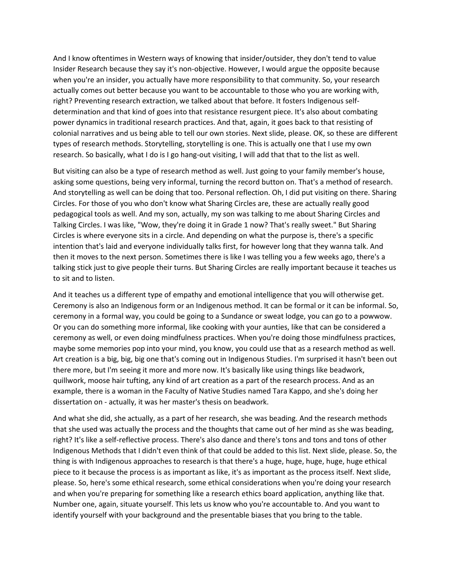And I know oftentimes in Western ways of knowing that insider/outsider, they don't tend to value Insider Research because they say it's non-objective. However, I would argue the opposite because when you're an insider, you actually have more responsibility to that community. So, your research actually comes out better because you want to be accountable to those who you are working with, right? Preventing research extraction, we talked about that before. It fosters Indigenous selfdetermination and that kind of goes into that resistance resurgent piece. It's also about combating power dynamics in traditional research practices. And that, again, it goes back to that resisting of colonial narratives and us being able to tell our own stories. Next slide, please. OK, so these are different types of research methods. Storytelling, storytelling is one. This is actually one that I use my own research. So basically, what I do is I go hang-out visiting, I will add that that to the list as well.

But visiting can also be a type of research method as well. Just going to your family member's house, asking some questions, being very informal, turning the record button on. That's a method of research. And storytelling as well can be doing that too. Personal reflection. Oh, I did put visiting on there. Sharing Circles. For those of you who don't know what Sharing Circles are, these are actually really good pedagogical tools as well. And my son, actually, my son was talking to me about Sharing Circles and Talking Circles. I was like, "Wow, they're doing it in Grade 1 now? That's really sweet." But Sharing Circles is where everyone sits in a circle. And depending on what the purpose is, there's a specific intention that's laid and everyone individually talks first, for however long that they wanna talk. And then it moves to the next person. Sometimes there is like I was telling you a few weeks ago, there's a talking stick just to give people their turns. But Sharing Circles are really important because it teaches us to sit and to listen.

And it teaches us a different type of empathy and emotional intelligence that you will otherwise get. Ceremony is also an Indigenous form or an Indigenous method. It can be formal or it can be informal. So, ceremony in a formal way, you could be going to a Sundance or sweat lodge, you can go to a powwow. Or you can do something more informal, like cooking with your aunties, like that can be considered a ceremony as well, or even doing mindfulness practices. When you're doing those mindfulness practices, maybe some memories pop into your mind, you know, you could use that as a research method as well. Art creation is a big, big, big one that's coming out in Indigenous Studies. I'm surprised it hasn't been out there more, but I'm seeing it more and more now. It's basically like using things like beadwork, quillwork, moose hair tufting, any kind of art creation as a part of the research process. And as an example, there is a woman in the Faculty of Native Studies named Tara Kappo, and she's doing her dissertation on - actually, it was her master's thesis on beadwork.

And what she did, she actually, as a part of her research, she was beading. And the research methods that she used was actually the process and the thoughts that came out of her mind as she was beading, right? It's like a self-reflective process. There's also dance and there's tons and tons and tons of other Indigenous Methods that I didn't even think of that could be added to this list. Next slide, please. So, the thing is with Indigenous approaches to research is that there's a huge, huge, huge, huge, huge ethical piece to it because the process is as important as like, it's as important as the process itself. Next slide, please. So, here's some ethical research, some ethical considerations when you're doing your research and when you're preparing for something like a research ethics board application, anything like that. Number one, again, situate yourself. This lets us know who you're accountable to. And you want to identify yourself with your background and the presentable biases that you bring to the table.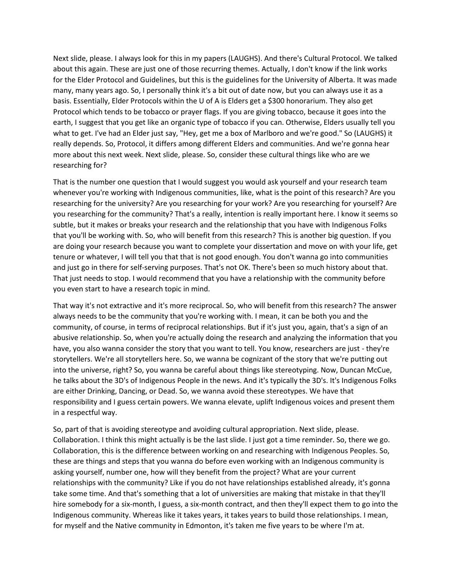Next slide, please. I always look for this in my papers (LAUGHS). And there's Cultural Protocol. We talked about this again. These are just one of those recurring themes. Actually, I don't know if the link works for the Elder Protocol and Guidelines, but this is the guidelines for the University of Alberta. It was made many, many years ago. So, I personally think it's a bit out of date now, but you can always use it as a basis. Essentially, Elder Protocols within the U of A is Elders get a \$300 honorarium. They also get Protocol which tends to be tobacco or prayer flags. If you are giving tobacco, because it goes into the earth, I suggest that you get like an organic type of tobacco if you can. Otherwise, Elders usually tell you what to get. I've had an Elder just say, "Hey, get me a box of Marlboro and we're good." So (LAUGHS) it really depends. So, Protocol, it differs among different Elders and communities. And we're gonna hear more about this next week. Next slide, please. So, consider these cultural things like who are we researching for?

That is the number one question that I would suggest you would ask yourself and your research team whenever you're working with Indigenous communities, like, what is the point of this research? Are you researching for the university? Are you researching for your work? Are you researching for yourself? Are you researching for the community? That's a really, intention is really important here. I know it seems so subtle, but it makes or breaks your research and the relationship that you have with Indigenous Folks that you'll be working with. So, who will benefit from this research? This is another big question. If you are doing your research because you want to complete your dissertation and move on with your life, get tenure or whatever, I will tell you that that is not good enough. You don't wanna go into communities and just go in there for self-serving purposes. That's not OK. There's been so much history about that. That just needs to stop. I would recommend that you have a relationship with the community before you even start to have a research topic in mind.

That way it's not extractive and it's more reciprocal. So, who will benefit from this research? The answer always needs to be the community that you're working with. I mean, it can be both you and the community, of course, in terms of reciprocal relationships. But if it's just you, again, that's a sign of an abusive relationship. So, when you're actually doing the research and analyzing the information that you have, you also wanna consider the story that you want to tell. You know, researchers are just - they're storytellers. We're all storytellers here. So, we wanna be cognizant of the story that we're putting out into the universe, right? So, you wanna be careful about things like stereotyping. Now, Duncan McCue, he talks about the 3D's of Indigenous People in the news. And it's typically the 3D's. It's Indigenous Folks are either Drinking, Dancing, or Dead. So, we wanna avoid these stereotypes. We have that responsibility and I guess certain powers. We wanna elevate, uplift Indigenous voices and present them in a respectful way.

So, part of that is avoiding stereotype and avoiding cultural appropriation. Next slide, please. Collaboration. I think this might actually is be the last slide. I just got a time reminder. So, there we go. Collaboration, this is the difference between working on and researching with Indigenous Peoples. So, these are things and steps that you wanna do before even working with an Indigenous community is asking yourself, number one, how will they benefit from the project? What are your current relationships with the community? Like if you do not have relationships established already, it's gonna take some time. And that's something that a lot of universities are making that mistake in that they'll hire somebody for a six-month, I guess, a six-month contract, and then they'll expect them to go into the Indigenous community. Whereas like it takes years, it takes years to build those relationships. I mean, for myself and the Native community in Edmonton, it's taken me five years to be where I'm at.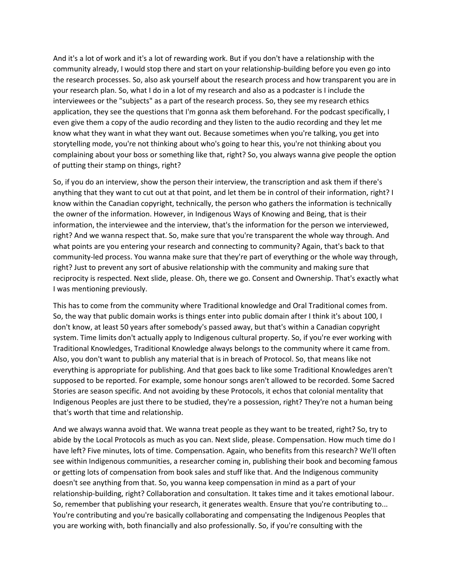And it's a lot of work and it's a lot of rewarding work. But if you don't have a relationship with the community already, I would stop there and start on your relationship-building before you even go into the research processes. So, also ask yourself about the research process and how transparent you are in your research plan. So, what I do in a lot of my research and also as a podcaster is I include the interviewees or the "subjects" as a part of the research process. So, they see my research ethics application, they see the questions that I'm gonna ask them beforehand. For the podcast specifically, I even give them a copy of the audio recording and they listen to the audio recording and they let me know what they want in what they want out. Because sometimes when you're talking, you get into storytelling mode, you're not thinking about who's going to hear this, you're not thinking about you complaining about your boss or something like that, right? So, you always wanna give people the option of putting their stamp on things, right?

So, if you do an interview, show the person their interview, the transcription and ask them if there's anything that they want to cut out at that point, and let them be in control of their information, right? I know within the Canadian copyright, technically, the person who gathers the information is technically the owner of the information. However, in Indigenous Ways of Knowing and Being, that is their information, the interviewee and the interview, that's the information for the person we interviewed, right? And we wanna respect that. So, make sure that you're transparent the whole way through. And what points are you entering your research and connecting to community? Again, that's back to that community-led process. You wanna make sure that they're part of everything or the whole way through, right? Just to prevent any sort of abusive relationship with the community and making sure that reciprocity is respected. Next slide, please. Oh, there we go. Consent and Ownership. That's exactly what I was mentioning previously.

This has to come from the community where Traditional knowledge and Oral Traditional comes from. So, the way that public domain works is things enter into public domain after I think it's about 100, I don't know, at least 50 years after somebody's passed away, but that's within a Canadian copyright system. Time limits don't actually apply to Indigenous cultural property. So, if you're ever working with Traditional Knowledges, Traditional Knowledge always belongs to the community where it came from. Also, you don't want to publish any material that is in breach of Protocol. So, that means like not everything is appropriate for publishing. And that goes back to like some Traditional Knowledges aren't supposed to be reported. For example, some honour songs aren't allowed to be recorded. Some Sacred Stories are season specific. And not avoiding by these Protocols, it echos that colonial mentality that Indigenous Peoples are just there to be studied, they're a possession, right? They're not a human being that's worth that time and relationship.

And we always wanna avoid that. We wanna treat people as they want to be treated, right? So, try to abide by the Local Protocols as much as you can. Next slide, please. Compensation. How much time do I have left? Five minutes, lots of time. Compensation. Again, who benefits from this research? We'll often see within Indigenous communities, a researcher coming in, publishing their book and becoming famous or getting lots of compensation from book sales and stuff like that. And the Indigenous community doesn't see anything from that. So, you wanna keep compensation in mind as a part of your relationship-building, right? Collaboration and consultation. It takes time and it takes emotional labour. So, remember that publishing your research, it generates wealth. Ensure that you're contributing to... You're contributing and you're basically collaborating and compensating the Indigenous Peoples that you are working with, both financially and also professionally. So, if you're consulting with the